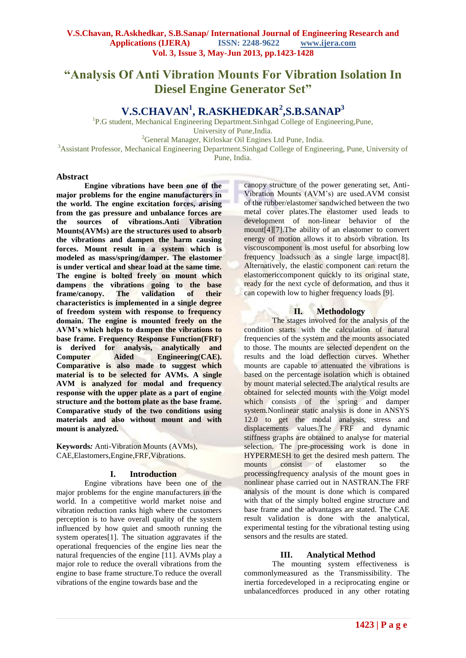# **"Analysis Of Anti Vibration Mounts For Vibration Isolation In Diesel Engine Generator Set"**

## **V.S.CHAVAN<sup>1</sup> , R.ASKHEDKAR<sup>2</sup> ,S.B.SANAP<sup>3</sup>**

<sup>1</sup>P.G student, Mechanical Engineering Department.Sinhgad College of Engineering,Pune, University of Pune,India. <sup>2</sup>General Manager, Kirloskar Oil Engines Ltd Pune, India.

<sup>3</sup>Assistant Professor, Mechanical Engineering Department.Sinhgad College of Engineering, Pune, University of Pune, India.

#### **Abstract**

**Engine vibrations have been one of the major problems for the engine manufacturers in the world. The engine excitation forces, arising from the gas pressure and unbalance forces are the sources of vibrations.Anti Vibration Mounts(AVMs) are the structures used to absorb the vibrations and dampen the harm causing forces. Mount result in a system which is modeled as mass/spring/damper. The elastomer is under vertical and shear load at the same time. The engine is bolted freely on mount which dampens the vibrations going to the base frame/canopy. The validation of their characteristics is implemented in a single degree of freedom system with response to frequency domain. The engine is mounted freely on the AVM's which helps to dampen the vibrations to base frame. Frequency Response Function(FRF) is derived for analysis, analytically and Computer Aided Engineering(CAE). Comparative is also made to suggest which material is to be selected for AVMs. A single AVM is analyzed for modal and frequency response with the upper plate as a part of engine structure and the bottom plate as the base frame. Comparative study of the two conditions using materials and also without mount and with mount is analyzed.**

**Keywords***:* Anti-Vibration Mounts (AVMs), CAE,Elastomers,Engine,FRF,Vibrations.

#### **I. Introduction**

Engine vibrations have been one of the major problems for the engine manufacturers in the world. In a competitive world market noise and vibration reduction ranks high where the customers perception is to have overall quality of the system influenced by how quiet and smooth running the system operates[1]. The situation aggravates if the operational frequencies of the engine lies near the natural frequencies of the engine [11]. AVMs play a major role to reduce the overall vibrations from the engine to base frame structure.To reduce the overall vibrations of the engine towards base and the

canopy structure of the power generating set, Anti-Vibration Mounts (AVM's) are used.AVM consist of the rubber/elastomer sandwiched between the two metal cover plates.The elastomer used leads to development of non-linear behavior of the mount[4][7].The ability of an elastomer to convert energy of motion allows it to absorb vibration. Its viscouscomponent is most useful for absorbing low frequency loadssuch as a single large impact[8]. Alternatively, the elastic component can return the elastomericcomponent quickly to its original state, ready for the next cycle of deformation, and thus it can copewith low to higher frequency loads [9].

## **II. Methodology**

The stages involved for the analysis of the condition starts with the calculation of natural frequencies of the system and the mounts associated to those. The mounts are selected dependent on the results and the load deflection curves. Whether mounts are capable to attenuated the vibrations is based on the percentage isolation which is obtained by mount material selected.The analytical results are obtained for selected mounts with the Voigt model which consists of the spring and damper system.Nonlinear static analysis is done in ANSYS 12.0 to get the modal analysis, stress and displacements values.The FRF and dynamic stiffness graphs are obtained to analyse for material selection. The pre-processing work is done in HYPERMESH to get the desired mesh pattern. The mounts consist of elastomer so the processingfrequency analysis of the mount goes in nonlinear phase carried out in NASTRAN.The FRF analysis of the mount is done which is compared with that of the simply bolted engine structure and base frame and the advantages are stated. The CAE result validation is done with the analytical, experimental testing for the vibrational testing using sensors and the results are stated.

#### **III. Analytical Method**

The mounting system effectiveness is commonlymeasured as the Transmissibility. The inertia forcedeveloped in a reciprocating engine or unbalancedforces produced in any other rotating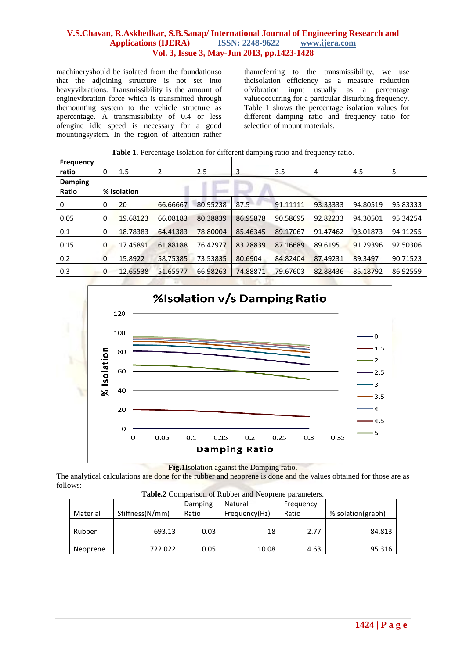machineryshould be isolated from the foundationso that the adjoining structure is not set into heavyvibrations. Transmissibility is the amount of enginevibration force which is transmitted through themounting system to the vehicle structure as apercentage. A transmissibility of 0.4 or less ofengine idle speed is necessary for a good mountingsystem. In the region of attention rather

thanreferring to the transmissibility, we use theisolation efficiency as a measure reduction ofvibration input usually as a percentage valueoccurring for a particular disturbing frequency. Table 1 shows the percentage isolation values for different damping ratio and frequency ratio for selection of mount materials.

| <b>Frequency</b> |                |          |          |          |          |          |          |          |          |  |  |
|------------------|----------------|----------|----------|----------|----------|----------|----------|----------|----------|--|--|
| ratio            | $\mathbf{0}$   | 1.5      | 2        | 2.5      | 3        | 3.5      | 4        | 4.5      | 5        |  |  |
| <b>Damping</b>   |                |          |          |          |          |          |          |          |          |  |  |
| Ratio            | % Isolation    |          |          |          |          |          |          |          |          |  |  |
| 0                | $\mathbf{0}$   | 20       | 66.66667 | 80.95238 | 87.5     | 91.11111 | 93.33333 | 94.80519 | 95.83333 |  |  |
| 0.05             | 0              | 19.68123 | 66.08183 | 80.38839 | 86.95878 | 90.58695 | 92.82233 | 94.30501 | 95.34254 |  |  |
| 0.1              | $\mathbf{0}$   | 18.78383 | 64.41383 | 78.80004 | 85.46345 | 89.17067 | 91.47462 | 93.01873 | 94.11255 |  |  |
| 0.15             | 0              | 17.45891 | 61.88188 | 76.42977 | 83.28839 | 87.16689 | 89.6195  | 91.29396 | 92.50306 |  |  |
| 0.2              | $\overline{0}$ | 15.8922  | 58.75385 | 73.53835 | 80.6904  | 84.82404 | 87.49231 | 89.3497  | 90.71523 |  |  |
| 0.3              | $\mathbf{0}$   | 12.65538 | 51.65577 | 66.98263 | 74.88871 | 79.67603 | 82.88436 | 85.18792 | 86.92559 |  |  |

**Table 1**. Percentage Isolation for different damping ratio and frequency ratio.



**Fig.1**Isolation against the Damping ratio.

The analytical calculations are done for the rubber and neoprene is done and the values obtained for those are as follows:

**Table.2** Comparison of Rubber and Neoprene parameters.

|          |                 | Damping | Natural       | Frequency |                   |
|----------|-----------------|---------|---------------|-----------|-------------------|
| Material | Stiffness(N/mm) | Ratio   | Frequency(Hz) | Ratio     | %Isolation(graph) |
|          |                 |         |               |           |                   |
| Rubber   | 693.13          | 0.03    | 18            | 2.77      | 84.813            |
|          |                 |         |               |           |                   |
| Neoprene | 722.022         | 0.05    | 10.08         | 4.63      | 95.316            |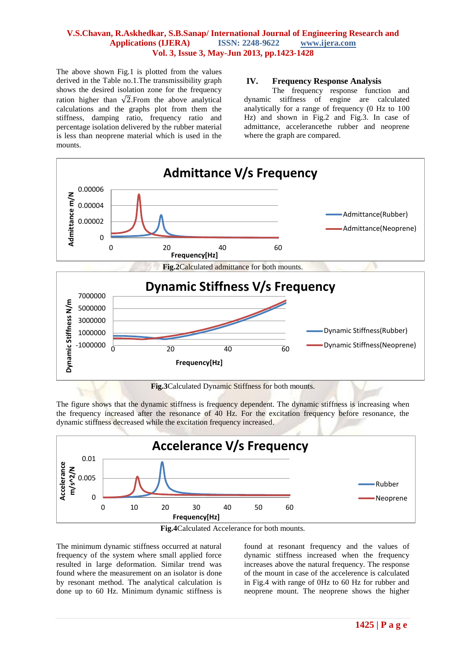The above shown Fig.1 is plotted from the values derived in the Table no.1.The transmissibility graph shows the desired isolation zone for the frequency ration higher than  $\sqrt{2}$ . From the above analytical calculations and the graphs plot from them the stiffness, damping ratio, frequency ratio and percentage isolation delivered by the rubber material is less than neoprene material which is used in the mounts.

#### **IV. Frequency Response Analysis**

The frequency response function and dynamic stiffness of engine are calculated analytically for a range of frequency (0 Hz to 100 Hz) and shown in Fig.2 and Fig.3. In case of admittance, accelerancethe rubber and neoprene where the graph are compared.



The figure shows that the dynamic stiffness is frequency dependent. The dynamic stiffness is increasing when the frequency increased after the resonance of 40 Hz. For the excitation frequency before resonance, the dynamic stiffness decreased while the excitation frequency increased.





The minimum dynamic stiffness occurred at natural frequency of the system where small applied force resulted in large deformation. Similar trend was found where the measurement on an isolator is done by resonant method. The analytical calculation is done up to 60 Hz. Minimum dynamic stiffness is found at resonant frequency and the values of dynamic stiffness increased when the frequency increases above the natural frequency. The response of the mount in case of the accelerence is calculated in Fig.4 with range of 0Hz to 60 Hz for rubber and neoprene mount. The neoprene shows the higher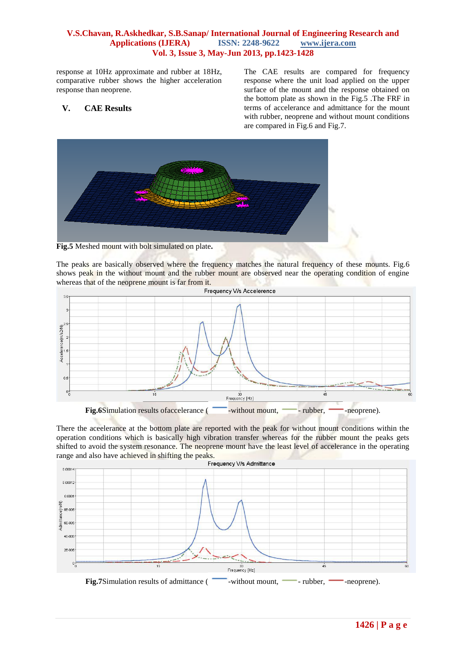response at 10Hz approximate and rubber at 18Hz, comparative rubber shows the higher acceleration response than neoprene.

## **V. CAE Results**

The CAE results are compared for frequency response where the unit load applied on the upper surface of the mount and the response obtained on the bottom plate as shown in the Fig.5 .The FRF in terms of accelerance and admittance for the mount with rubber, neoprene and without mount conditions are compared in Fig.6 and Fig.7.



**Fig.5** Meshed mount with bolt simulated on plate**.**

The peaks are basically observed where the frequency matches the natural frequency of these mounts. Fig.6 shows peak in the without mount and the rubber mount are observed near the operating condition of engine whereas that of the neoprene mount is far from it.



There the aceelerance at the bottom plate are reported with the peak for without mount conditions within the operation conditions which is basically high vibration transfer whereas for the rubber mount the peaks gets shifted to avoid the system resonance. The neoprene mount have the least level of accelerance in the operating range and also have achieved in shifting the peaks.<br>Frequency V/s Admittance

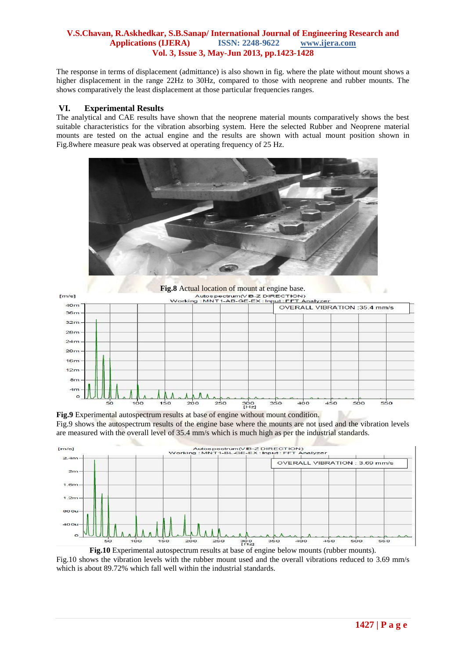The response in terms of displacement (admittance) is also shown in fig. where the plate without mount shows a higher displacement in the range 22Hz to 30Hz, compared to those with neoprene and rubber mounts. The shows comparatively the least displacement at those particular frequencies ranges.

#### **VI. Experimental Results**

The analytical and CAE results have shown that the neoprene material mounts comparatively shows the best suitable characteristics for the vibration absorbing system. Here the selected Rubber and Neoprene material mounts are tested on the actual engine and the results are shown with actual mount position shown in Fig.8where measure peak was observed at operating frequency of 25 Hz.





**Fig.9** Experimental autospectrum results at base of engine without mount condition. Fig.9 shows the autospectrum results of the engine base where the mounts are not used and the vibration levels are measured with the overall level of 35.4 mm/s which is much high as per the industrial standards.



**Fig.10** Experimental autospectrum results at base of engine below mounts (rubber mounts). Fig.10 shows the vibration levels with the rubber mount used and the overall vibrations reduced to 3.69 mm/s which is about 89.72% which fall well within the industrial standards.